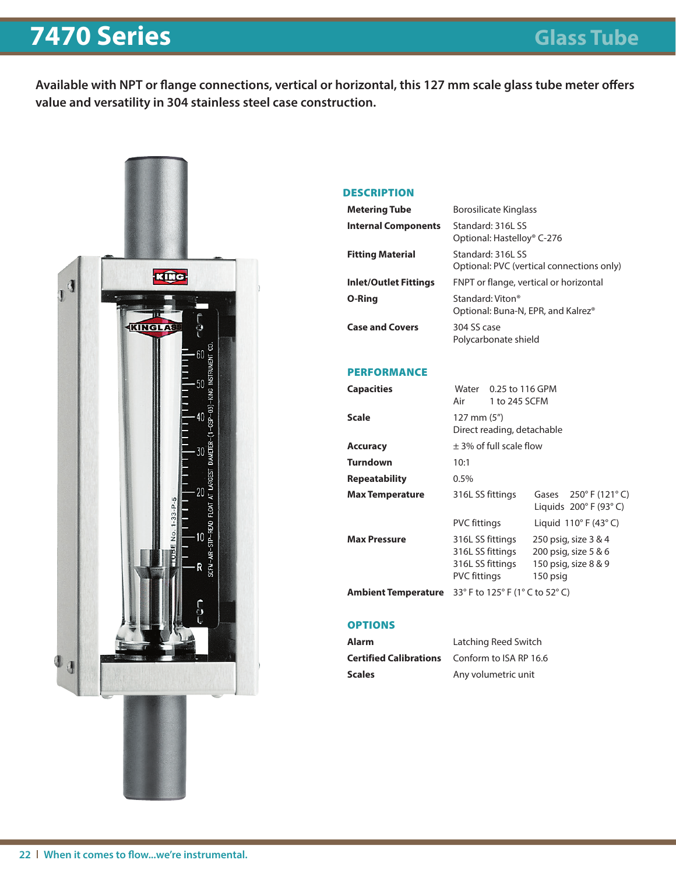## **7470 Series Glass Tube**

**Available with NPT or flange connections, vertical or horizontal, this 127 mm scale glass tube meter offers value and versatility in 304 stainless steel case construction.**



#### **DESCRIPTION**

| <b>Metering Tube</b>         | <b>Borosilicate Kinglass</b>                                   |
|------------------------------|----------------------------------------------------------------|
| <b>Internal Components</b>   | Standard: 316L SS<br>Optional: Hastelloy® C-276                |
| <b>Fitting Material</b>      | Standard: 316L SS<br>Optional: PVC (vertical connections only) |
| <b>Inlet/Outlet Fittings</b> | FNPT or flange, vertical or horizontal                         |
| O-Ring                       | Standard: Viton®<br>Optional: Buna-N, EPR, and Kalrez®         |
| <b>Case and Covers</b>       | 304 SS case<br>Polycarbonate shield                            |

#### PERFORMANCE

| <b>Capacities</b>      | Water<br>Air                                                                    | 0.25 to 116 GPM<br>1 to 245 SCFM |                                                                                  |  |  |  |  |  |
|------------------------|---------------------------------------------------------------------------------|----------------------------------|----------------------------------------------------------------------------------|--|--|--|--|--|
| Scale                  | 127 mm (5")<br>Direct reading, detachable                                       |                                  |                                                                                  |  |  |  |  |  |
| Accuracy               | $\pm$ 3% of full scale flow                                                     |                                  |                                                                                  |  |  |  |  |  |
| Turndown               | 10:1                                                                            |                                  |                                                                                  |  |  |  |  |  |
| Repeatability          | 0.5%                                                                            |                                  |                                                                                  |  |  |  |  |  |
| <b>Max Temperature</b> | 316L SS fittings                                                                |                                  | Gases 250° F (121° C)<br>Liquids $200^\circ$ F (93 $^\circ$ C)                   |  |  |  |  |  |
|                        | <b>PVC fittings</b>                                                             |                                  | Liquid $110^{\circ}$ F (43 $^{\circ}$ C)                                         |  |  |  |  |  |
| <b>Max Pressure</b>    | 316L SS fittings<br>316L SS fittings<br>316L SS fittings<br><b>PVC fittings</b> |                                  | 250 psig, size 3 & 4<br>200 psig, size 5 & 6<br>150 psig, size 8 & 9<br>150 psig |  |  |  |  |  |
| Ambient Temperature    | 33° F to 125° F (1° C to 52° C)                                                 |                                  |                                                                                  |  |  |  |  |  |
|                        |                                                                                 |                                  |                                                                                  |  |  |  |  |  |

### **OPTIONS**

| Alarm  | Latching Reed Switch                                 |
|--------|------------------------------------------------------|
|        | <b>Certified Calibrations</b> Conform to ISA RP 16.6 |
| Scales | Any volumetric unit                                  |